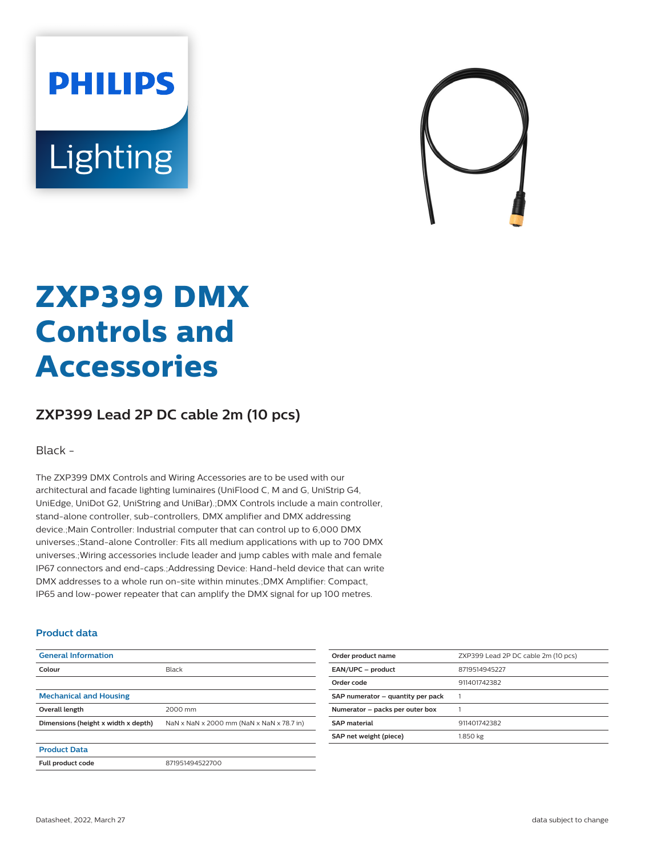# **PHILIPS** Lighting



# **ZXP399 DMX Controls and Accessories**

## **ZXP399 Lead 2P DC cable 2m (10 pcs)**

Black -

The ZXP399 DMX Controls and Wiring Accessories are to be used with our architectural and facade lighting luminaires (UniFlood C, M and G, UniStrip G4, UniEdge, UniDot G2, UniString and UniBar).;DMX Controls include a main controller, stand-alone controller, sub-controllers, DMX amplifier and DMX addressing device.;Main Controller: Industrial computer that can control up to 6,000 DMX universes.;Stand-alone Controller: Fits all medium applications with up to 700 DMX universes.;Wiring accessories include leader and jump cables with male and female IP67 connectors and end-caps.;Addressing Device: Hand-held device that can write DMX addresses to a whole run on-site within minutes.;DMX Amplifier: Compact, IP65 and low-power repeater that can amplify the DMX signal for up 100 metres.

#### **Product data**

| <b>General Information</b>          |                                           |
|-------------------------------------|-------------------------------------------|
| Colour                              | Black                                     |
|                                     |                                           |
| <b>Mechanical and Housing</b>       |                                           |
| Overall length                      | 2000 mm                                   |
| Dimensions (height x width x depth) | NaN x NaN x 2000 mm (NaN x NaN x 78.7 in) |
|                                     |                                           |
| <b>Product Data</b>                 |                                           |
| Full product code                   | 871951494522700                           |

| Order product name                | ZXP399 Lead 2P DC cable 2m (10 pcs) |
|-----------------------------------|-------------------------------------|
| EAN/UPC - product                 | 8719514945227                       |
| Order code                        | 911401742382                        |
| SAP numerator - quantity per pack |                                     |
| Numerator - packs per outer box   |                                     |
| <b>SAP</b> material               | 911401742382                        |
| SAP net weight (piece)            | 1.850 kg                            |